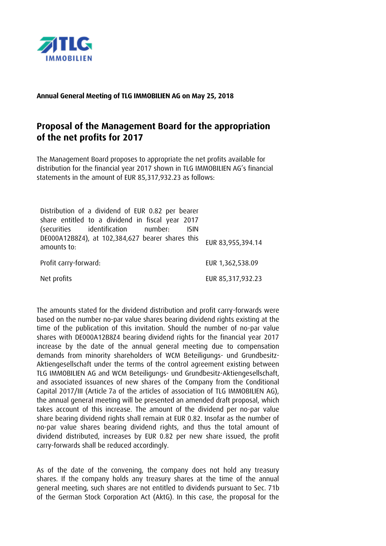

**Annual General Meeting of TLG IMMOBILIEN AG on May 25, 2018**

## **Proposal of the Management Board for the appropriation of the net profits for 2017**

The Management Board proposes to appropriate the net profits available for distribution for the financial year 2017 shown in TLG IMMOBILIEN AG's financial statements in the amount of EUR 85,317,932.23 as follows:

| Distribution of a dividend of EUR 0.82 per bearer<br>share entitled to a dividend in fiscal year 2017<br>(securities identification number:<br><b>ISIN</b> |                   |
|------------------------------------------------------------------------------------------------------------------------------------------------------------|-------------------|
| DE000A12B8Z4), at 102,384,627 bearer shares this<br>amounts to:                                                                                            | EUR 83,955,394.14 |
| Profit carry-forward:                                                                                                                                      | EUR 1,362,538.09  |
| Net profits                                                                                                                                                | EUR 85,317,932.23 |

The amounts stated for the dividend distribution and profit carry-forwards were based on the number no-par value shares bearing dividend rights existing at the time of the publication of this invitation. Should the number of no-par value shares with DE000A12B8Z4 bearing dividend rights for the financial year 2017 increase by the date of the annual general meeting due to compensation demands from minority shareholders of WCM Beteiligungs- und Grundbesitz-Aktiengesellschaft under the terms of the control agreement existing between TLG IMMOBILIEN AG and WCM Beteiligungs- und Grundbesitz-Aktiengesellschaft, and associated issuances of new shares of the Company from the Conditional Capital 2017/III (Article 7a of the articles of association of TLG IMMOBILIEN AG), the annual general meeting will be presented an amended draft proposal, which takes account of this increase. The amount of the dividend per no-par value share bearing dividend rights shall remain at EUR 0.82. Insofar as the number of no-par value shares bearing dividend rights, and thus the total amount of dividend distributed, increases by EUR 0.82 per new share issued, the profit carry-forwards shall be reduced accordingly.

As of the date of the convening, the company does not hold any treasury shares. If the company holds any treasury shares at the time of the annual general meeting, such shares are not entitled to dividends pursuant to Sec. 71b of the German Stock Corporation Act (AktG). In this case, the proposal for the